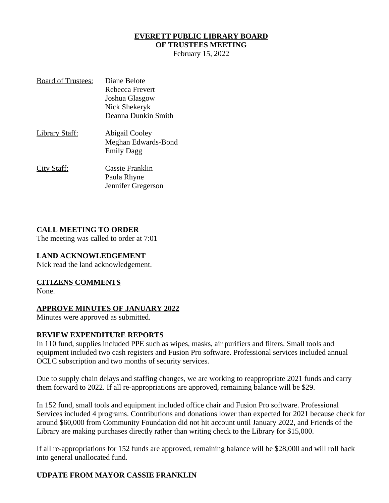# **EVERETT PUBLIC LIBRARY BOARD**

# **OF TRUSTEES MEETING**

February 15, 2022

| <b>Board of Trustees:</b> | Diane Belote        |
|---------------------------|---------------------|
|                           | Rebecca Frevert     |
|                           | Joshua Glasgow      |
|                           | Nick Shekeryk       |
|                           | Deanna Dunkin Smith |
| <u> Library Staff:</u>    | Abigail Cooley      |
|                           | Meghan Edwards-Bond |
|                           | <b>Emily Dagg</b>   |
| <u>City Staff:</u>        | Cassie Franklin     |
|                           | Paula Rhyne         |
|                           | Jennifer Gregerson  |

#### **CALL MEETING TO ORDER**

The meeting was called to order at 7:01

#### **LAND ACKNOWLEDGEMENT**

Nick read the land acknowledgement.

#### **CITIZENS COMMENTS**

None.

#### **APPROVE MINUTES OF JANUARY 2022**

Minutes were approved as submitted.

#### **REVIEW EXPENDITURE REPORTS**

In 110 fund, supplies included PPE such as wipes, masks, air purifiers and filters. Small tools and equipment included two cash registers and Fusion Pro software. Professional services included annual OCLC subscription and two months of security services.

Due to supply chain delays and staffing changes, we are working to reappropriate 2021 funds and carry them forward to 2022. If all re-appropriations are approved, remaining balance will be \$29.

In 152 fund, small tools and equipment included office chair and Fusion Pro software. Professional Services included 4 programs. Contributions and donations lower than expected for 2021 because check for around \$60,000 from Community Foundation did not hit account until January 2022, and Friends of the Library are making purchases directly rather than writing check to the Library for \$15,000.

If all re-appropriations for 152 funds are approved, remaining balance will be \$28,000 and will roll back into general unallocated fund.

## **UDPATE FROM MAYOR CASSIE FRANKLIN**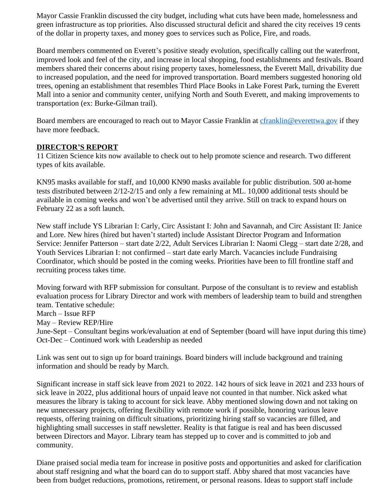Mayor Cassie Franklin discussed the city budget, including what cuts have been made, homelessness and green infrastructure as top priorities. Also discussed structural deficit and shared the city receives 19 cents of the dollar in property taxes, and money goes to services such as Police, Fire, and roads.

Board members commented on Everett's positive steady evolution, specifically calling out the waterfront, improved look and feel of the city, and increase in local shopping, food establishments and festivals. Board members shared their concerns about rising property taxes, homelessness, the Everett Mall, drivability due to increased population, and the need for improved transportation. Board members suggested honoring old trees, opening an establishment that resembles Third Place Books in Lake Forest Park, turning the Everett Mall into a senior and community center, unifying North and South Everett, and making improvements to transportation (ex: Burke-Gilman trail).

Board members are encouraged to reach out to Mayor Cassie Franklin at [cfranklin@everettwa.gov](mailto:cfranklin@everettwa.gov) if they have more feedback.

## **DIRECTOR'S REPORT**

11 Citizen Science kits now available to check out to help promote science and research. Two different types of kits available.

KN95 masks available for staff, and 10,000 KN90 masks available for public distribution. 500 at-home tests distributed between 2/12-2/15 and only a few remaining at ML. 10,000 additional tests should be available in coming weeks and won't be advertised until they arrive. Still on track to expand hours on February 22 as a soft launch.

New staff include YS Librarian I: Carly, Circ Assistant I: John and Savannah, and Circ Assistant II: Janice and Lore. New hires (hired but haven't started) include Assistant Director Program and Information Service: Jennifer Patterson – start date 2/22, Adult Services Librarian I: Naomi Clegg – start date 2/28, and Youth Services Librarian I: not confirmed – start date early March. Vacancies include Fundraising Coordinator, which should be posted in the coming weeks. Priorities have been to fill frontline staff and recruiting process takes time.

Moving forward with RFP submission for consultant. Purpose of the consultant is to review and establish evaluation process for Library Director and work with members of leadership team to build and strengthen team. Tentative schedule:

March – Issue RFP

May – Review REP/Hire

June-Sept – Consultant begins work/evaluation at end of September (board will have input during this time) Oct-Dec – Continued work with Leadership as needed

Link was sent out to sign up for board trainings. Board binders will include background and training information and should be ready by March.

Significant increase in staff sick leave from 2021 to 2022. 142 hours of sick leave in 2021 and 233 hours of sick leave in 2022, plus additional hours of unpaid leave not counted in that number. Nick asked what measures the library is taking to account for sick leave. Abby mentioned slowing down and not taking on new unnecessary projects, offering flexibility with remote work if possible, honoring various leave requests, offering training on difficult situations, prioritizing hiring staff so vacancies are filled, and highlighting small successes in staff newsletter. Reality is that fatigue is real and has been discussed between Directors and Mayor. Library team has stepped up to cover and is committed to job and community.

Diane praised social media team for increase in positive posts and opportunities and asked for clarification about staff resigning and what the board can do to support staff. Abby shared that most vacancies have been from budget reductions, promotions, retirement, or personal reasons. Ideas to support staff include